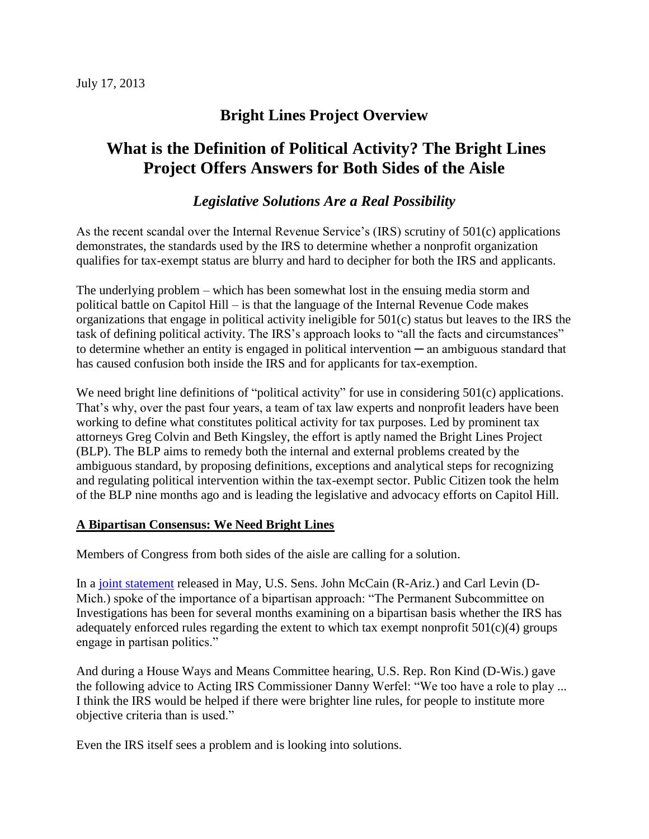## **Bright Lines Project Overview**

# **What is the Definition of Political Activity? The Bright Lines Project Offers Answers for Both Sides of the Aisle**

## *Legislative Solutions Are a Real Possibility*

As the recent scandal over the Internal Revenue Service's (IRS) scrutiny of 501(c) applications demonstrates, the standards used by the IRS to determine whether a nonprofit organization qualifies for tax-exempt status are blurry and hard to decipher for both the IRS and applicants.

The underlying problem – which has been somewhat lost in the ensuing media storm and political battle on Capitol Hill – is that the language of the Internal Revenue Code makes organizations that engage in political activity ineligible for 501(c) status but leaves to the IRS the task of defining political activity. The IRS's approach looks to "all the facts and circumstances" to determine whether an entity is engaged in political intervention ─ an ambiguous standard that has caused confusion both inside the IRS and for applicants for tax-exemption.

We need bright line definitions of "political activity" for use in considering 501(c) applications. That's why, over the past four years, a team of tax law experts and nonprofit leaders have been working to define what constitutes political activity for tax purposes. Led by prominent tax attorneys Greg Colvin and Beth Kingsley, the effort is aptly named the Bright Lines Project (BLP). The BLP aims to remedy both the internal and external problems created by the ambiguous standard, by proposing definitions, exceptions and analytical steps for recognizing and regulating political intervention within the tax-exempt sector. Public Citizen took the helm of the BLP nine months ago and is leading the legislative and advocacy efforts on Capitol Hill.

#### **A Bipartisan Consensus: We Need Bright Lines**

Members of Congress from both sides of the aisle are calling for a solution.

In a [joint statement](http://www.levin.senate.gov/newsroom/press/release/levin-mccain-statement-on-irs-investigation) released in May, U.S. Sens. John McCain (R-Ariz.) and Carl Levin (D-Mich.) spoke of the importance of a bipartisan approach: "The Permanent Subcommittee on Investigations has been for several months examining on a bipartisan basis whether the IRS has adequately enforced rules regarding the extent to which tax exempt nonprofit  $501(c)(4)$  groups engage in partisan politics."

And during a House Ways and Means Committee hearing, U.S. Rep. Ron Kind (D-Wis.) gave the following advice to Acting IRS Commissioner Danny Werfel: "We too have a role to play ... I think the IRS would be helped if there were brighter line rules, for people to institute more objective criteria than is used."

Even the IRS itself sees a problem and is looking into solutions.